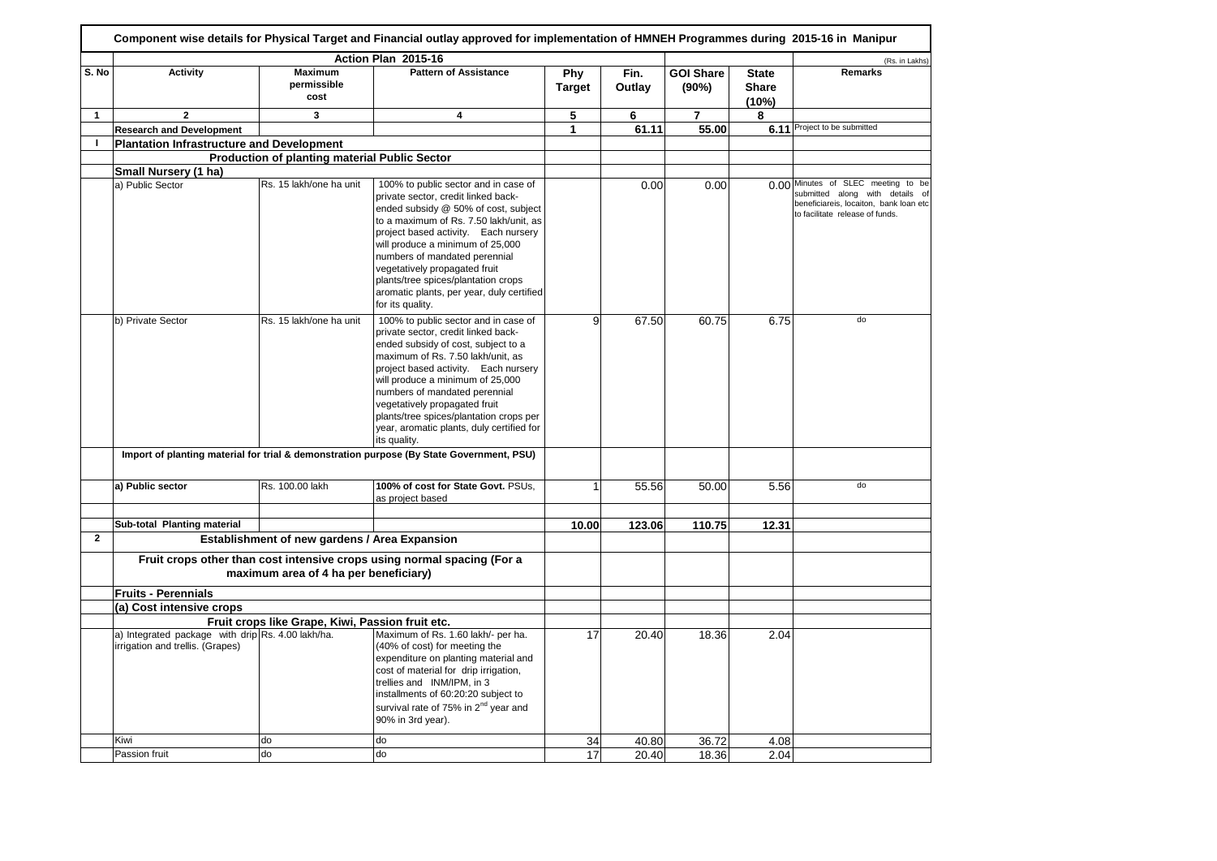|              |                                                                                       |                                                      | Action Plan 2015-16                                                                                                                                                                                                                                                                                                                                                                                                 |                             |                |                           |                                | (Rs. in Lakhs)                                                                                                                                     |
|--------------|---------------------------------------------------------------------------------------|------------------------------------------------------|---------------------------------------------------------------------------------------------------------------------------------------------------------------------------------------------------------------------------------------------------------------------------------------------------------------------------------------------------------------------------------------------------------------------|-----------------------------|----------------|---------------------------|--------------------------------|----------------------------------------------------------------------------------------------------------------------------------------------------|
| S. No        | <b>Activity</b>                                                                       | <b>Maximum</b><br>permissible<br>cost                | <b>Pattern of Assistance</b>                                                                                                                                                                                                                                                                                                                                                                                        | <b>Phy</b><br><b>Target</b> | Fin.<br>Outlay | <b>GOI Share</b><br>(90%) | <b>State</b><br>Share<br>(10%) | <b>Remarks</b>                                                                                                                                     |
| $\mathbf{1}$ | $\overline{2}$                                                                        | 3                                                    | 4                                                                                                                                                                                                                                                                                                                                                                                                                   | 5                           | 6              | $\overline{7}$            | 8                              |                                                                                                                                                    |
|              | <b>Research and Development</b>                                                       |                                                      |                                                                                                                                                                                                                                                                                                                                                                                                                     | $\mathbf{1}$                | 61.11          | 55.00                     | 6.11                           | Project to be submitted                                                                                                                            |
| $\mathbf{I}$ | <b>Plantation Infrastructure and Development</b>                                      |                                                      |                                                                                                                                                                                                                                                                                                                                                                                                                     |                             |                |                           |                                |                                                                                                                                                    |
|              |                                                                                       | <b>Production of planting material Public Sector</b> |                                                                                                                                                                                                                                                                                                                                                                                                                     |                             |                |                           |                                |                                                                                                                                                    |
|              | Small Nursery (1 ha)                                                                  |                                                      |                                                                                                                                                                                                                                                                                                                                                                                                                     |                             |                |                           |                                |                                                                                                                                                    |
|              | a) Public Sector                                                                      | Rs. 15 lakh/one ha unit                              | 100% to public sector and in case of<br>private sector, credit linked back-<br>ended subsidy @ 50% of cost, subject<br>to a maximum of Rs. 7.50 lakh/unit, as<br>project based activity. Each nursery<br>will produce a minimum of 25,000<br>numbers of mandated perennial<br>vegetatively propagated fruit<br>plants/tree spices/plantation crops<br>aromatic plants, per year, duly certified<br>for its quality. |                             | 0.00           | 0.00                      |                                | 0.00 Minutes of SLEC meeting to be<br>submitted along with details of<br>beneficiareis, locaiton, bank loan etc<br>to facilitate release of funds. |
|              | b) Private Sector                                                                     | Rs. 15 lakh/one ha unit                              | 100% to public sector and in case of<br>private sector, credit linked back-<br>ended subsidy of cost, subject to a<br>maximum of Rs. 7.50 lakh/unit, as<br>project based activity. Each nursery<br>will produce a minimum of 25,000<br>numbers of mandated perennial<br>vegetatively propagated fruit<br>plants/tree spices/plantation crops per<br>year, aromatic plants, duly certified for<br>its quality.       | 9                           | 67.50          | 60.75                     | 6.75                           | do                                                                                                                                                 |
|              |                                                                                       |                                                      | Import of planting material for trial & demonstration purpose (By State Government, PSU)                                                                                                                                                                                                                                                                                                                            |                             |                |                           |                                |                                                                                                                                                    |
|              | a) Public sector                                                                      | Rs. 100.00 lakh                                      | 100% of cost for State Govt. PSUs.<br>as project based                                                                                                                                                                                                                                                                                                                                                              |                             | 55.56          | 50.00                     | 5.56                           | do                                                                                                                                                 |
|              | Sub-total Planting material                                                           |                                                      |                                                                                                                                                                                                                                                                                                                                                                                                                     | 10.00                       | 123.06         | 110.75                    | 12.31                          |                                                                                                                                                    |
| $\mathbf{2}$ |                                                                                       | Establishment of new gardens / Area Expansion        |                                                                                                                                                                                                                                                                                                                                                                                                                     |                             |                |                           |                                |                                                                                                                                                    |
|              |                                                                                       |                                                      | Fruit crops other than cost intensive crops using normal spacing (For a                                                                                                                                                                                                                                                                                                                                             |                             |                |                           |                                |                                                                                                                                                    |
|              |                                                                                       | maximum area of 4 ha per beneficiary)                |                                                                                                                                                                                                                                                                                                                                                                                                                     |                             |                |                           |                                |                                                                                                                                                    |
|              | <b>Fruits - Perennials</b>                                                            |                                                      |                                                                                                                                                                                                                                                                                                                                                                                                                     |                             |                |                           |                                |                                                                                                                                                    |
|              | (a) Cost intensive crops                                                              |                                                      |                                                                                                                                                                                                                                                                                                                                                                                                                     |                             |                |                           |                                |                                                                                                                                                    |
|              |                                                                                       | Fruit crops like Grape, Kiwi, Passion fruit etc.     |                                                                                                                                                                                                                                                                                                                                                                                                                     |                             |                |                           |                                |                                                                                                                                                    |
|              | a) Integrated package with drip Rs. 4.00 lakh/ha.<br>irrigation and trellis. (Grapes) |                                                      | Maximum of Rs. 1.60 lakh/- per ha.<br>(40% of cost) for meeting the<br>expenditure on planting material and<br>cost of material for drip irrigation,<br>trellies and INM/IPM, in 3<br>installments of 60:20:20 subject to<br>survival rate of 75% in 2 <sup>nd</sup> year and<br>90% in 3rd year).                                                                                                                  | 17                          | 20.40          | 18.36                     | 2.04                           |                                                                                                                                                    |
|              |                                                                                       |                                                      |                                                                                                                                                                                                                                                                                                                                                                                                                     |                             |                |                           |                                |                                                                                                                                                    |
|              | Kiwi                                                                                  | do                                                   | do                                                                                                                                                                                                                                                                                                                                                                                                                  | 34                          | 40.80          | 36.72                     | 4.08                           |                                                                                                                                                    |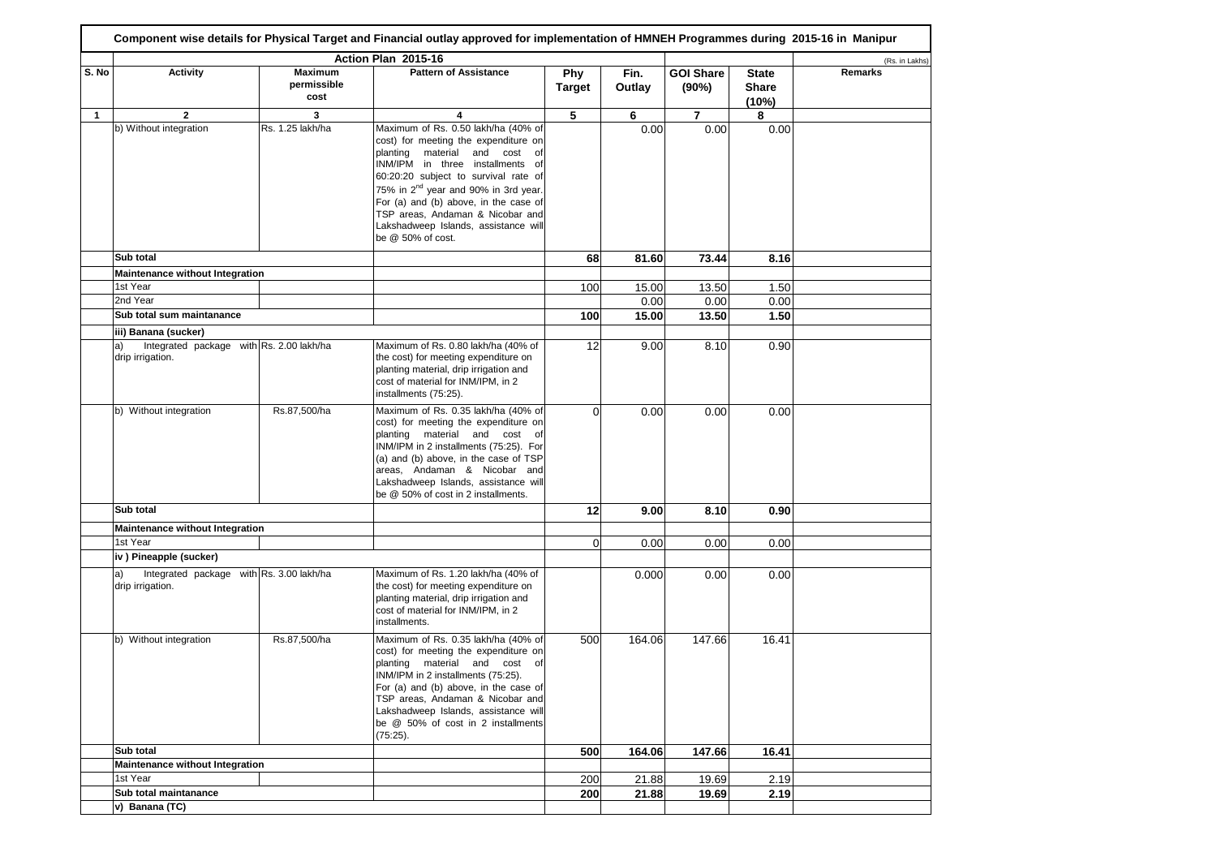|       |                                                                    |                                       | Action Plan 2015-16                                                                                                                                                                                                                                                                                                                                                                    |                      |                |                           |                                | (Rs. in Lakhs) |
|-------|--------------------------------------------------------------------|---------------------------------------|----------------------------------------------------------------------------------------------------------------------------------------------------------------------------------------------------------------------------------------------------------------------------------------------------------------------------------------------------------------------------------------|----------------------|----------------|---------------------------|--------------------------------|----------------|
| S. No | <b>Activity</b>                                                    | <b>Maximum</b><br>permissible<br>cost | <b>Pattern of Assistance</b>                                                                                                                                                                                                                                                                                                                                                           | Phy<br><b>Target</b> | Fin.<br>Outlay | <b>GOI Share</b><br>(90%) | <b>State</b><br>Share<br>(10%) | <b>Remarks</b> |
| 1     | 2                                                                  | 3                                     | 4                                                                                                                                                                                                                                                                                                                                                                                      | 5                    | 6              | $\overline{7}$            | 8                              |                |
|       | b) Without integration                                             | Rs. 1.25 lakh/ha                      | Maximum of Rs. 0.50 lakh/ha (40% of<br>cost) for meeting the expenditure on<br>planting material and cost of<br>INM/IPM in three installments of<br>60:20:20 subject to survival rate of<br>75% in 2 <sup>nd</sup> year and 90% in 3rd year.<br>For (a) and (b) above, in the case of<br>TSP areas, Andaman & Nicobar and<br>Lakshadweep Islands, assistance will<br>be @ 50% of cost. |                      | 0.00           | 0.00                      | 0.00                           |                |
|       | Sub total                                                          |                                       |                                                                                                                                                                                                                                                                                                                                                                                        | 68                   | 81.60          | 73.44                     | 8.16                           |                |
|       | Maintenance without Integration                                    |                                       |                                                                                                                                                                                                                                                                                                                                                                                        |                      |                |                           |                                |                |
|       | 1st Year                                                           |                                       |                                                                                                                                                                                                                                                                                                                                                                                        | 100                  | 15.00          | 13.50                     | 1.50                           |                |
|       | 2nd Year<br>Sub total sum maintanance                              |                                       |                                                                                                                                                                                                                                                                                                                                                                                        |                      | 0.00           | 0.00                      | 0.00                           |                |
|       |                                                                    |                                       |                                                                                                                                                                                                                                                                                                                                                                                        | 100                  | 15.00          | 13.50                     | 1.50                           |                |
|       | iii) Banana (sucker)<br>Integrated package with Rs. 2.00 lakh/ha   |                                       | Maximum of Rs. 0.80 lakh/ha (40% of                                                                                                                                                                                                                                                                                                                                                    |                      |                |                           |                                |                |
|       | a)<br>drip irrigation.                                             |                                       | the cost) for meeting expenditure on<br>planting material, drip irrigation and<br>cost of material for INM/IPM, in 2<br>installments (75:25).                                                                                                                                                                                                                                          | 12                   | 9.00           | 8.10                      | 0.90                           |                |
|       | b) Without integration                                             | Rs.87,500/ha                          | Maximum of Rs. 0.35 lakh/ha (40% of<br>cost) for meeting the expenditure on<br>planting material and cost of<br>INM/IPM in 2 installments (75:25). For<br>(a) and (b) above, in the case of TSP<br>areas, Andaman & Nicobar and<br>Lakshadweep Islands, assistance will<br>be @ 50% of cost in 2 installments.                                                                         | $\Omega$             | 0.00           | 0.00                      | 0.00                           |                |
|       | Sub total                                                          |                                       |                                                                                                                                                                                                                                                                                                                                                                                        | 12                   | 9.00           | 8.10                      | 0.90                           |                |
|       | Maintenance without Integration                                    |                                       |                                                                                                                                                                                                                                                                                                                                                                                        |                      |                |                           |                                |                |
|       | 1st Year                                                           |                                       |                                                                                                                                                                                                                                                                                                                                                                                        | $\mathbf{0}$         | 0.00           | 0.00                      | 0.00                           |                |
|       | iv) Pineapple (sucker)                                             |                                       |                                                                                                                                                                                                                                                                                                                                                                                        |                      |                |                           |                                |                |
|       | Integrated package with Rs. 3.00 lakh/ha<br>a)<br>drip irrigation. |                                       | Maximum of Rs. 1.20 lakh/ha (40% of<br>the cost) for meeting expenditure on<br>planting material, drip irrigation and<br>cost of material for INM/IPM, in 2<br>installments.                                                                                                                                                                                                           |                      | 0.000          | 0.00                      | 0.00                           |                |
|       | b) Without integration                                             | Rs.87,500/ha                          | Maximum of Rs. 0.35 lakh/ha (40% of<br>cost) for meeting the expenditure on<br>planting material and cost of<br>INM/IPM in 2 installments (75:25).<br>For (a) and (b) above, in the case of<br>TSP areas, Andaman & Nicobar and<br>Lakshadweep Islands, assistance will<br>be @ 50% of cost in 2 installments<br>(75:25).                                                              | 500                  | 164.06         | 147.66                    | 16.41                          |                |
|       | Sub total                                                          |                                       |                                                                                                                                                                                                                                                                                                                                                                                        | 500                  | 164.06         | 147.66                    | 16.41                          |                |
|       | Maintenance without Integration                                    |                                       |                                                                                                                                                                                                                                                                                                                                                                                        |                      |                |                           |                                |                |
|       |                                                                    |                                       |                                                                                                                                                                                                                                                                                                                                                                                        |                      |                |                           |                                |                |
|       | 1st Year<br>Sub total maintanance                                  |                                       |                                                                                                                                                                                                                                                                                                                                                                                        | 200<br>200           | 21.88<br>21.88 | 19.69<br>19.69            | 2.19<br>2.19                   |                |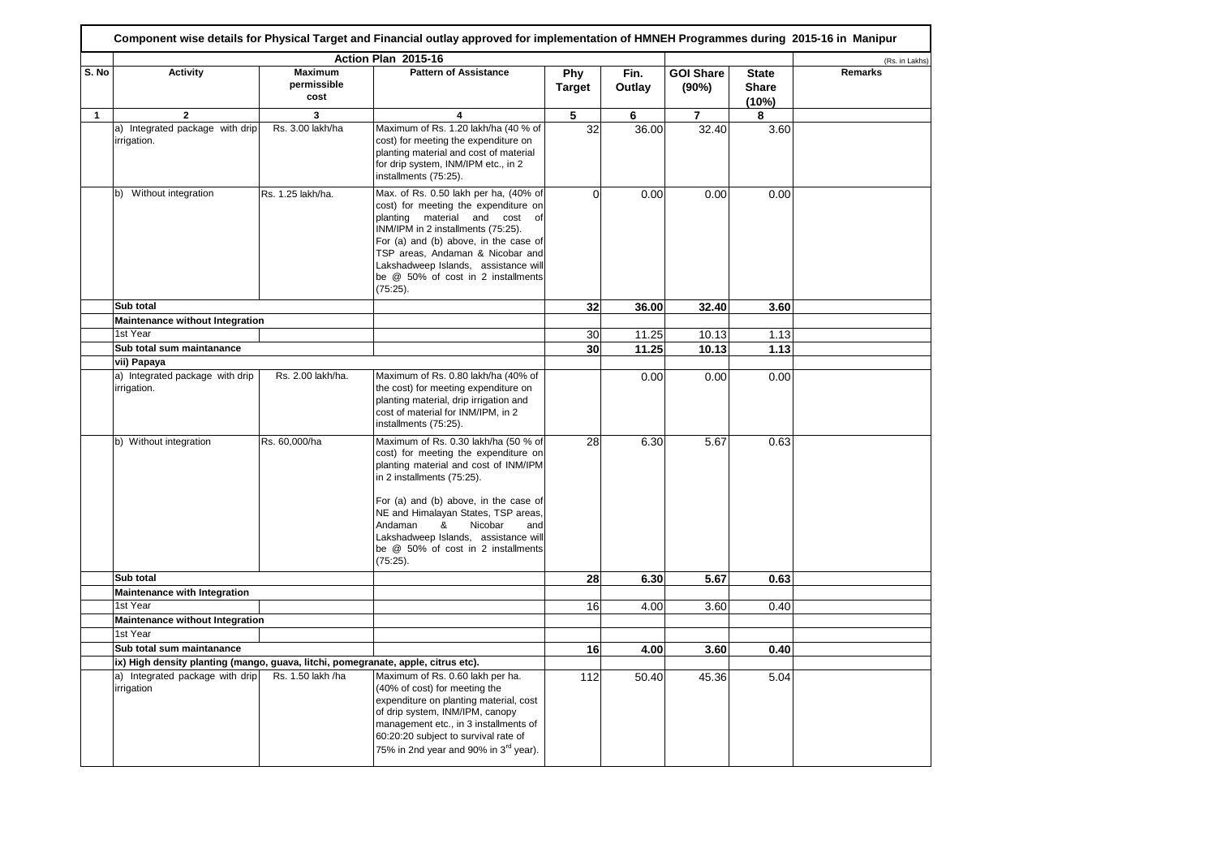|              |                                                                                   |                                       | Action Plan 2015-16                                                                                                                                                                                                                                                                                                         |                      |                |                           |                                       | (Rs. in Lakhs) |
|--------------|-----------------------------------------------------------------------------------|---------------------------------------|-----------------------------------------------------------------------------------------------------------------------------------------------------------------------------------------------------------------------------------------------------------------------------------------------------------------------------|----------------------|----------------|---------------------------|---------------------------------------|----------------|
| S. No        | <b>Activity</b>                                                                   | <b>Maximum</b><br>permissible<br>cost | <b>Pattern of Assistance</b>                                                                                                                                                                                                                                                                                                | Phy<br><b>Target</b> | Fin.<br>Outlay | <b>GOI Share</b><br>(90%) | <b>State</b><br><b>Share</b><br>(10%) | <b>Remarks</b> |
| $\mathbf{1}$ | $\mathbf{2}$                                                                      | 3                                     | 4                                                                                                                                                                                                                                                                                                                           | 5                    | 6              | 7                         | 8                                     |                |
|              | a) Integrated package with drip<br>irrigation.                                    | Rs. 3.00 lakh/ha                      | Maximum of Rs. 1.20 lakh/ha (40 % of<br>cost) for meeting the expenditure on<br>planting material and cost of material<br>for drip system, INM/IPM etc., in 2<br>installments (75:25).                                                                                                                                      | 32                   | 36.00          | 32.40                     | 3.60                                  |                |
|              | b) Without integration                                                            | Rs. 1.25 lakh/ha.                     | Max. of Rs. 0.50 lakh per ha, (40% of<br>cost) for meeting the expenditure on<br>planting material and cost of<br>INM/IPM in 2 installments (75:25).<br>For (a) and (b) above, in the case of<br>TSP areas, Andaman & Nicobar and<br>Lakshadweep Islands, assistance will<br>be @ 50% of cost in 2 installments<br>(75:25). | $\mathbf{0}$         | 0.00           | 0.00                      | 0.00                                  |                |
|              | Sub total                                                                         |                                       |                                                                                                                                                                                                                                                                                                                             | 32                   | 36.00          | 32.40                     | 3.60                                  |                |
|              | Maintenance without Integration                                                   |                                       |                                                                                                                                                                                                                                                                                                                             |                      |                |                           |                                       |                |
|              | 1st Year                                                                          |                                       |                                                                                                                                                                                                                                                                                                                             | 30                   | 11.25          | 10.13                     | 1.13                                  |                |
|              | Sub total sum maintanance                                                         |                                       |                                                                                                                                                                                                                                                                                                                             | 30                   | 11.25          | 10.13                     | 1.13                                  |                |
|              | vii) Papaya                                                                       |                                       |                                                                                                                                                                                                                                                                                                                             |                      |                |                           |                                       |                |
|              | a) Integrated package with drip<br>irrigation.                                    | Rs. 2.00 lakh/ha.                     | Maximum of Rs. 0.80 lakh/ha (40% of<br>the cost) for meeting expenditure on<br>planting material, drip irrigation and<br>cost of material for INM/IPM, in 2<br>installments (75:25).                                                                                                                                        |                      | 0.00           | 0.00                      | 0.00                                  |                |
|              | b) Without integration                                                            | Rs. 60,000/ha                         | Maximum of Rs. 0.30 lakh/ha (50 % of<br>cost) for meeting the expenditure on<br>planting material and cost of INM/IPM<br>in 2 installments (75:25).<br>For (a) and (b) above, in the case of<br>NE and Himalayan States, TSP areas,<br>Andaman<br>&<br>Nicobar<br>and<br>Lakshadweep Islands, assistance will               | 28                   | 6.30           | 5.67                      | 0.63                                  |                |
|              |                                                                                   |                                       | be @ 50% of cost in 2 installments<br>(75:25).                                                                                                                                                                                                                                                                              |                      |                |                           |                                       |                |
|              | Sub total                                                                         |                                       |                                                                                                                                                                                                                                                                                                                             | 28                   | 6.30           | 5.67                      | 0.63                                  |                |
|              | <b>Maintenance with Integration</b>                                               |                                       |                                                                                                                                                                                                                                                                                                                             |                      |                |                           |                                       |                |
|              | 1st Year                                                                          |                                       |                                                                                                                                                                                                                                                                                                                             | 16                   | 4.00           | 3.60                      | 0.40                                  |                |
|              | Maintenance without Integration                                                   |                                       |                                                                                                                                                                                                                                                                                                                             |                      |                |                           |                                       |                |
|              | 1st Year                                                                          |                                       |                                                                                                                                                                                                                                                                                                                             |                      |                |                           |                                       |                |
|              | Sub total sum maintanance                                                         |                                       |                                                                                                                                                                                                                                                                                                                             | 16                   | 4.00           | 3.60                      | 0.40                                  |                |
|              | ix) High density planting (mango, guava, litchi, pomegranate, apple, citrus etc). |                                       |                                                                                                                                                                                                                                                                                                                             |                      |                |                           |                                       |                |
|              | a) Integrated package with drip<br>irrigation                                     | Rs. 1.50 lakh /ha                     | Maximum of Rs. 0.60 lakh per ha.<br>(40% of cost) for meeting the<br>expenditure on planting material, cost<br>of drip system, INM/IPM, canopy<br>management etc., in 3 installments of<br>60:20:20 subject to survival rate of<br>75% in 2nd year and 90% in 3 <sup>rd</sup> year).                                        | 112                  | 50.40          | 45.36                     | 5.04                                  |                |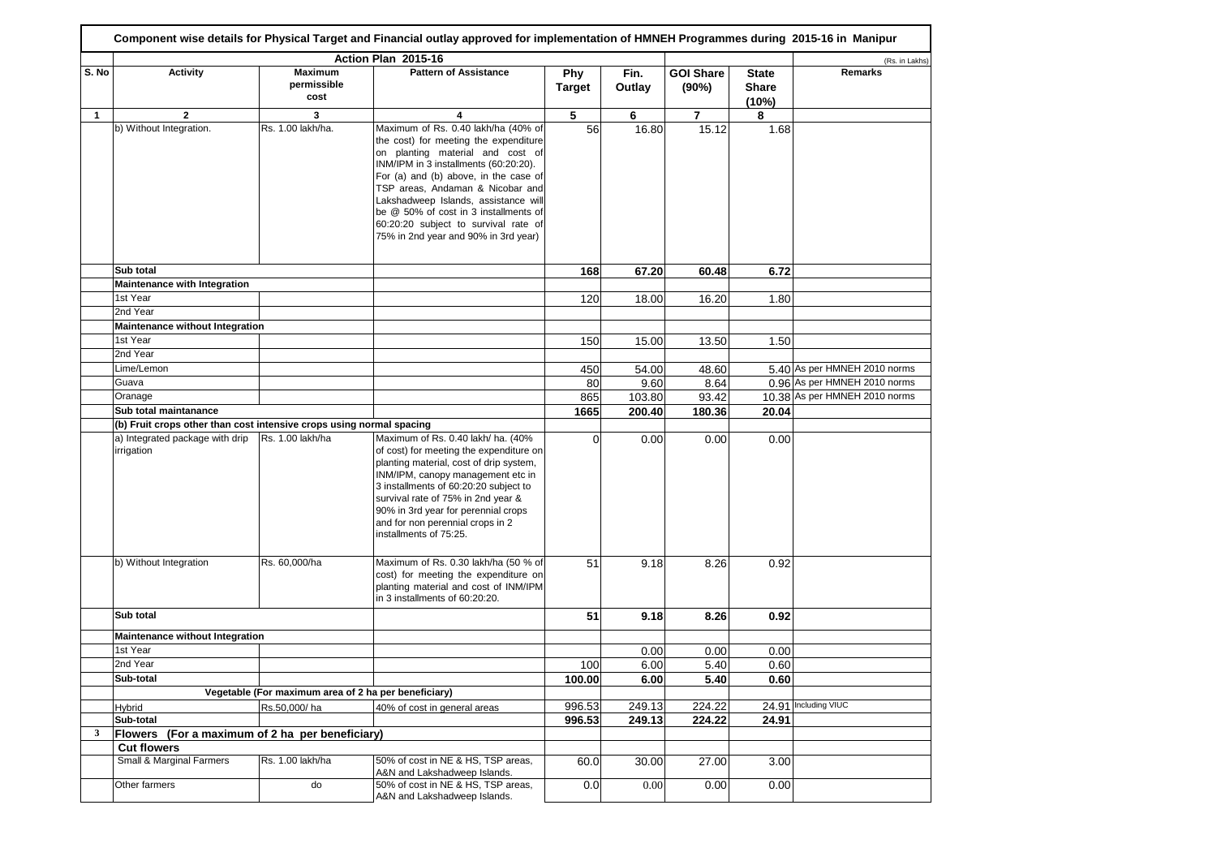|              |                                                                      |                                       | Action Plan 2015-16                                                                                                                                                                                                                                                                                                                                                                                     |                      |                |                           |                                       | (Rs. in Lakhs)                |
|--------------|----------------------------------------------------------------------|---------------------------------------|---------------------------------------------------------------------------------------------------------------------------------------------------------------------------------------------------------------------------------------------------------------------------------------------------------------------------------------------------------------------------------------------------------|----------------------|----------------|---------------------------|---------------------------------------|-------------------------------|
| S. No        | <b>Activity</b>                                                      | <b>Maximum</b><br>permissible<br>cost | <b>Pattern of Assistance</b>                                                                                                                                                                                                                                                                                                                                                                            | Phy<br><b>Target</b> | Fin.<br>Outlay | <b>GOI Share</b><br>(90%) | <b>State</b><br><b>Share</b><br>(10%) | <b>Remarks</b>                |
| 1            | $\mathbf{2}$                                                         | 3                                     | 4                                                                                                                                                                                                                                                                                                                                                                                                       | 5                    | 6              | $\overline{7}$            | 8                                     |                               |
|              | b) Without Integration.                                              | Rs. 1.00 lakh/ha.                     | Maximum of Rs. 0.40 lakh/ha (40% of<br>the cost) for meeting the expenditure<br>on planting material and cost of<br>INM/IPM in 3 installments (60:20:20).<br>For (a) and (b) above, in the case of<br>TSP areas, Andaman & Nicobar and<br>Lakshadweep Islands, assistance will<br>be @ 50% of cost in 3 installments of<br>60:20:20 subject to survival rate of<br>75% in 2nd year and 90% in 3rd year) | 56                   | 16.80          | 15.12                     | 1.68                                  |                               |
|              | Sub total                                                            |                                       |                                                                                                                                                                                                                                                                                                                                                                                                         | 168                  | 67.20          | 60.48                     | 6.72                                  |                               |
|              | <b>Maintenance with Integration</b>                                  |                                       |                                                                                                                                                                                                                                                                                                                                                                                                         |                      |                |                           |                                       |                               |
|              | 1st Year                                                             |                                       |                                                                                                                                                                                                                                                                                                                                                                                                         | 120                  | 18.00          | 16.20                     | 1.80                                  |                               |
|              | 2nd Year                                                             |                                       |                                                                                                                                                                                                                                                                                                                                                                                                         |                      |                |                           |                                       |                               |
|              | <b>Maintenance without Integration</b>                               |                                       |                                                                                                                                                                                                                                                                                                                                                                                                         |                      |                |                           |                                       |                               |
|              | 1st Year                                                             |                                       |                                                                                                                                                                                                                                                                                                                                                                                                         | 150                  | 15.00          | 13.50                     | 1.50                                  |                               |
|              | 2nd Year                                                             |                                       |                                                                                                                                                                                                                                                                                                                                                                                                         |                      |                |                           |                                       |                               |
|              | Lime/Lemon                                                           |                                       |                                                                                                                                                                                                                                                                                                                                                                                                         | 450                  | 54.00          | 48.60                     |                                       | 5.40 As per HMNEH 2010 norms  |
|              | Guava                                                                |                                       |                                                                                                                                                                                                                                                                                                                                                                                                         | 80                   | 9.60           | 8.64                      |                                       | 0.96 As per HMNEH 2010 norms  |
|              | Oranage                                                              |                                       |                                                                                                                                                                                                                                                                                                                                                                                                         | 865                  | 103.80         | 93.42                     |                                       | 10.38 As per HMNEH 2010 norms |
|              | Sub total maintanance                                                |                                       |                                                                                                                                                                                                                                                                                                                                                                                                         | 1665                 | 200.40         | 180.36                    | 20.04                                 |                               |
|              | (b) Fruit crops other than cost intensive crops using normal spacing | Rs. 1.00 lakh/ha                      |                                                                                                                                                                                                                                                                                                                                                                                                         |                      |                |                           |                                       |                               |
|              | a) Integrated package with drip<br>irrigation                        |                                       | Maximum of Rs. 0.40 lakh/ ha. (40%<br>of cost) for meeting the expenditure on<br>planting material, cost of drip system,<br>INM/IPM, canopy management etc in<br>3 installments of 60:20:20 subject to<br>survival rate of 75% in 2nd year &<br>90% in 3rd year for perennial crops<br>and for non perennial crops in 2<br>installments of 75:25.                                                       | 0                    | 0.00           | 0.00                      | 0.00                                  |                               |
|              | b) Without Integration                                               | Rs. 60,000/ha                         | Maximum of Rs. 0.30 lakh/ha (50 % of<br>cost) for meeting the expenditure on<br>planting material and cost of INM/IPM<br>in 3 installments of 60:20:20.                                                                                                                                                                                                                                                 | 51                   | 9.18           | 8.26                      | 0.92                                  |                               |
|              | Sub total                                                            |                                       |                                                                                                                                                                                                                                                                                                                                                                                                         | 51                   | 9.18           | 8.26                      | 0.92                                  |                               |
|              | Maintenance without Integration                                      |                                       |                                                                                                                                                                                                                                                                                                                                                                                                         |                      |                |                           |                                       |                               |
|              | 1st Year                                                             |                                       |                                                                                                                                                                                                                                                                                                                                                                                                         |                      | 0.00           | 0.00                      | 0.00                                  |                               |
|              | 2nd Year                                                             |                                       |                                                                                                                                                                                                                                                                                                                                                                                                         | 100                  | 6.00           | 5.40                      | 0.60                                  |                               |
|              | Sub-total                                                            |                                       |                                                                                                                                                                                                                                                                                                                                                                                                         | 100.00               | 6.00           | 5.40                      | 0.60                                  |                               |
|              | Vegetable (For maximum area of 2 ha per beneficiary)                 |                                       |                                                                                                                                                                                                                                                                                                                                                                                                         |                      |                |                           |                                       |                               |
|              | Hybrid                                                               | Rs.50,000/ha                          | 40% of cost in general areas                                                                                                                                                                                                                                                                                                                                                                            | 996.53               | 249.13         | 224.22                    |                                       | 24.91 Including VIUC          |
|              | Sub-total                                                            |                                       |                                                                                                                                                                                                                                                                                                                                                                                                         | 996.53               | 249.13         | 224.22                    | 24.91                                 |                               |
| $\mathbf{3}$ | Flowers (For a maximum of 2 ha per beneficiary)                      |                                       |                                                                                                                                                                                                                                                                                                                                                                                                         |                      |                |                           |                                       |                               |
|              | <b>Cut flowers</b>                                                   |                                       |                                                                                                                                                                                                                                                                                                                                                                                                         |                      |                |                           |                                       |                               |
|              | Small & Marginal Farmers                                             | Rs. 1.00 lakh/ha                      | 50% of cost in NE & HS, TSP areas,<br>A&N and Lakshadweep Islands.                                                                                                                                                                                                                                                                                                                                      | 60.0                 | 30.00          | 27.00                     | 3.00                                  |                               |
|              | Other farmers                                                        | do                                    | 50% of cost in NE & HS, TSP areas,<br>A&N and Lakshadweep Islands.                                                                                                                                                                                                                                                                                                                                      | 0.0                  | 0.00           | 0.00                      | 0.00                                  |                               |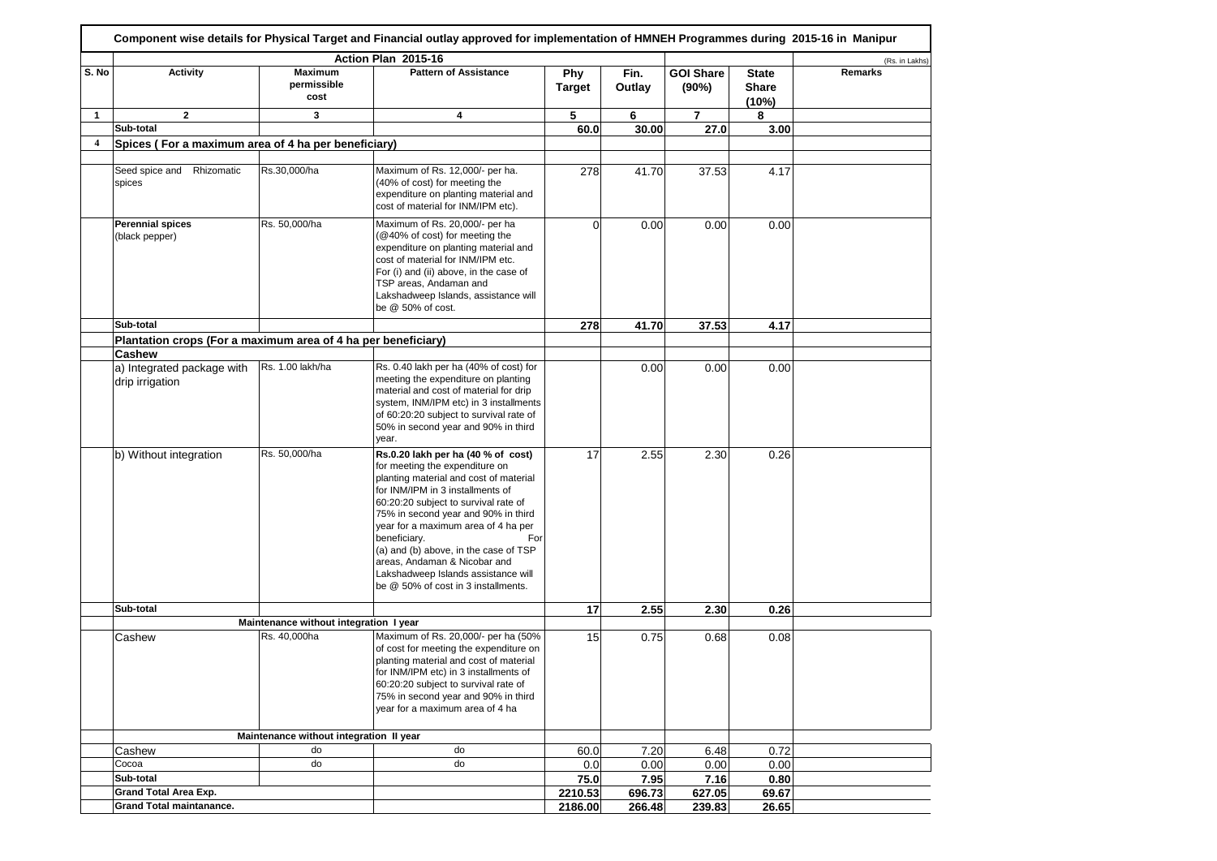|                         |                                                               |                                         | Action Plan 2015-16                                                                                                                                                                                                                                                                                                                                                                                                                                    |                      |                |                           |                                       | (Rs. in Lakhs) |
|-------------------------|---------------------------------------------------------------|-----------------------------------------|--------------------------------------------------------------------------------------------------------------------------------------------------------------------------------------------------------------------------------------------------------------------------------------------------------------------------------------------------------------------------------------------------------------------------------------------------------|----------------------|----------------|---------------------------|---------------------------------------|----------------|
| S. No                   | <b>Activity</b>                                               | Maximum<br>permissible<br>cost          | <b>Pattern of Assistance</b>                                                                                                                                                                                                                                                                                                                                                                                                                           | Phy<br><b>Target</b> | Fin.<br>Outlay | <b>GOI Share</b><br>(90%) | <b>State</b><br><b>Share</b><br>(10%) | Remarks        |
| 1                       | $\mathbf{2}$                                                  | 3                                       | 4                                                                                                                                                                                                                                                                                                                                                                                                                                                      | 5                    | 6              | $\overline{7}$            | 8                                     |                |
|                         | Sub-total                                                     |                                         |                                                                                                                                                                                                                                                                                                                                                                                                                                                        | 60.0                 | 30.00          | 27.0                      | 3.00                                  |                |
| $\overline{\mathbf{4}}$ | Spices (For a maximum area of 4 ha per beneficiary)           |                                         |                                                                                                                                                                                                                                                                                                                                                                                                                                                        |                      |                |                           |                                       |                |
|                         | Seed spice and Rhizomatic<br>spices                           | Rs.30,000/ha                            | Maximum of Rs. 12,000/- per ha.<br>(40% of cost) for meeting the<br>expenditure on planting material and<br>cost of material for INM/IPM etc).                                                                                                                                                                                                                                                                                                         | 278                  | 41.70          | 37.53                     | 4.17                                  |                |
|                         | <b>Perennial spices</b><br>(black pepper)                     | Rs. 50,000/ha                           | Maximum of Rs. 20,000/- per ha<br>(@40% of cost) for meeting the<br>expenditure on planting material and<br>cost of material for INM/IPM etc.<br>For (i) and (ii) above, in the case of<br>TSP areas, Andaman and<br>Lakshadweep Islands, assistance will<br>be @ 50% of cost.                                                                                                                                                                         | $\Omega$             | 0.00           | 0.00                      | 0.00                                  |                |
|                         | Sub-total                                                     |                                         |                                                                                                                                                                                                                                                                                                                                                                                                                                                        | 278                  | 41.70          | 37.53                     | 4.17                                  |                |
|                         | Plantation crops (For a maximum area of 4 ha per beneficiary) |                                         |                                                                                                                                                                                                                                                                                                                                                                                                                                                        |                      |                |                           |                                       |                |
|                         | <b>Cashew</b>                                                 |                                         |                                                                                                                                                                                                                                                                                                                                                                                                                                                        |                      |                |                           |                                       |                |
|                         | a) Integrated package with<br>drip irrigation                 | Rs. 1.00 lakh/ha                        | Rs. 0.40 lakh per ha (40% of cost) for<br>meeting the expenditure on planting<br>material and cost of material for drip<br>system, INM/IPM etc) in 3 installments<br>of 60:20:20 subject to survival rate of<br>50% in second year and 90% in third<br>year.                                                                                                                                                                                           |                      | 0.00           | 0.00                      | 0.00                                  |                |
|                         | b) Without integration                                        | Rs. 50,000/ha                           | Rs.0.20 lakh per ha (40 % of cost)<br>for meeting the expenditure on<br>planting material and cost of material<br>for INM/IPM in 3 installments of<br>60:20:20 subject to survival rate of<br>75% in second year and 90% in third<br>year for a maximum area of 4 ha per<br>beneficiary.<br>For<br>(a) and (b) above, in the case of TSP<br>areas, Andaman & Nicobar and<br>Lakshadweep Islands assistance will<br>be @ 50% of cost in 3 installments. | 17                   | 2.55           | 2.30                      | 0.26                                  |                |
|                         | Sub-total                                                     |                                         |                                                                                                                                                                                                                                                                                                                                                                                                                                                        | 17                   | 2.55           | 2.30                      | 0.26                                  |                |
|                         |                                                               | Maintenance without integration I year  |                                                                                                                                                                                                                                                                                                                                                                                                                                                        |                      |                |                           |                                       |                |
|                         | Cashew                                                        | Rs. 40,000ha                            | Maximum of Rs. 20,000/- per ha (50%<br>of cost for meeting the expenditure on<br>planting material and cost of material<br>for INM/IPM etc) in 3 installments of<br>60:20:20 subject to survival rate of<br>75% in second year and 90% in third<br>year for a maximum area of 4 ha                                                                                                                                                                     | 15                   | 0.75           | 0.68                      | 0.08                                  |                |
|                         |                                                               | Maintenance without integration II year |                                                                                                                                                                                                                                                                                                                                                                                                                                                        |                      |                |                           |                                       |                |
|                         | Cashew                                                        | do                                      | do                                                                                                                                                                                                                                                                                                                                                                                                                                                     | 60.0                 | 7.20           | 6.48                      | 0.72                                  |                |
|                         | Cocoa                                                         | do                                      | do                                                                                                                                                                                                                                                                                                                                                                                                                                                     | 0.0                  | 0.00           | 0.00                      | 0.00                                  |                |
|                         | Sub-total                                                     |                                         |                                                                                                                                                                                                                                                                                                                                                                                                                                                        | 75.0                 | 7.95           | 7.16                      | 0.80                                  |                |
|                         | Grand Total Area Exp.                                         |                                         |                                                                                                                                                                                                                                                                                                                                                                                                                                                        | 2210.53              | 696.73         | 627.05                    | 69.67                                 |                |
|                         | Grand Total maintanance.                                      |                                         |                                                                                                                                                                                                                                                                                                                                                                                                                                                        | 2186.00              | 266.48         | 239.83                    | 26.65                                 |                |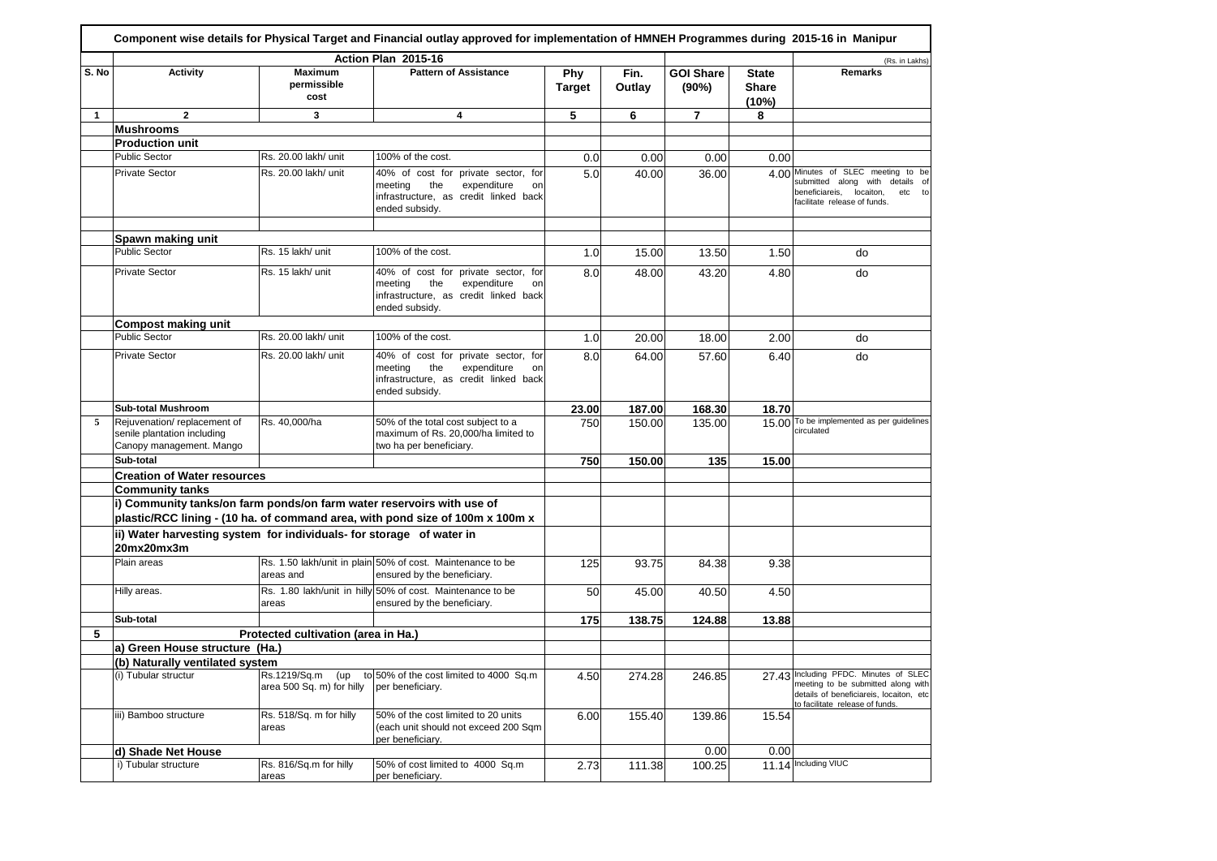|              |                                                                                        |                                                  | Action Plan 2015-16                                                                                                                   |                      |                |                           |                                       | (Rs. in Lakhs)                                                                                                                                            |
|--------------|----------------------------------------------------------------------------------------|--------------------------------------------------|---------------------------------------------------------------------------------------------------------------------------------------|----------------------|----------------|---------------------------|---------------------------------------|-----------------------------------------------------------------------------------------------------------------------------------------------------------|
| S. No        | <b>Activity</b>                                                                        | Maximum<br>permissible<br>cost                   | <b>Pattern of Assistance</b>                                                                                                          | Phy<br><b>Target</b> | Fin.<br>Outlay | <b>GOI Share</b><br>(90%) | <b>State</b><br><b>Share</b><br>(10%) | Remarks                                                                                                                                                   |
| $\mathbf{1}$ | $\overline{2}$                                                                         | 3                                                | 4                                                                                                                                     | 5                    | 6              | $\overline{7}$            | 8                                     |                                                                                                                                                           |
|              | <b>Mushrooms</b>                                                                       |                                                  |                                                                                                                                       |                      |                |                           |                                       |                                                                                                                                                           |
|              | <b>Production unit</b>                                                                 |                                                  |                                                                                                                                       |                      |                |                           |                                       |                                                                                                                                                           |
|              | <b>Public Sector</b>                                                                   | Rs. 20.00 lakh/ unit                             | 100% of the cost.                                                                                                                     | 0.0                  | 0.00           | 0.00                      | 0.00                                  |                                                                                                                                                           |
|              | <b>Private Sector</b>                                                                  | Rs. 20.00 lakh/ unit                             | 40% of cost for private sector, for<br>meeting<br>the<br>expenditure<br>on<br>infrastructure, as credit linked back<br>ended subsidy. | 5.0                  | 40.00          | 36.00                     |                                       | 4.00 Minutes of SLEC meeting to be<br>submitted along with details of<br>beneficiareis, locaiton,<br>etc to<br>facilitate release of funds.               |
|              | Spawn making unit                                                                      |                                                  |                                                                                                                                       |                      |                |                           |                                       |                                                                                                                                                           |
|              | <b>Public Sector</b>                                                                   | Rs. 15 lakh/ unit                                | 100% of the cost.                                                                                                                     | 1.0                  | 15.00          | 13.50                     | 1.50                                  | do                                                                                                                                                        |
|              | <b>Private Sector</b>                                                                  | Rs. 15 lakh/ unit                                | 40% of cost for private sector, for<br>meeting<br>the<br>expenditure<br>on<br>infrastructure, as credit linked back<br>ended subsidy. | 8.0                  | 48.00          | 43.20                     | 4.80                                  | do                                                                                                                                                        |
|              | <b>Compost making unit</b>                                                             |                                                  |                                                                                                                                       |                      |                |                           |                                       |                                                                                                                                                           |
|              | <b>Public Sector</b>                                                                   | Rs. 20.00 lakh/ unit                             | 100% of the cost.                                                                                                                     | 1.0                  | 20.00          | 18.00                     | 2.00                                  | do                                                                                                                                                        |
|              | <b>Private Sector</b>                                                                  | Rs. 20.00 lakh/ unit                             | 40% of cost for private sector, for<br>meeting<br>the<br>expenditure<br>on<br>infrastructure, as credit linked back<br>ended subsidy. | 8.0                  | 64.00          | 57.60                     | 6.40                                  | do                                                                                                                                                        |
|              | <b>Sub-total Mushroom</b>                                                              |                                                  |                                                                                                                                       | 23.00                | 187.00         | 168.30                    | 18.70                                 |                                                                                                                                                           |
| 5            | Rejuvenation/replacement of<br>senile plantation including<br>Canopy management. Mango | Rs. 40,000/ha                                    | 50% of the total cost subject to a<br>maximum of Rs. 20,000/ha limited to<br>two ha per beneficiary.                                  | 750                  | 150.00         | 135.00                    |                                       | 15.00 To be implemented as per guidelines<br>circulated                                                                                                   |
|              | Sub-total                                                                              |                                                  |                                                                                                                                       | 750                  | 150.00         | 135                       | 15.00                                 |                                                                                                                                                           |
|              | <b>Creation of Water resources</b>                                                     |                                                  |                                                                                                                                       |                      |                |                           |                                       |                                                                                                                                                           |
|              | <b>Community tanks</b>                                                                 |                                                  |                                                                                                                                       |                      |                |                           |                                       |                                                                                                                                                           |
|              | i) Community tanks/on farm ponds/on farm water reservoirs with use of                  |                                                  | plastic/RCC lining - (10 ha. of command area, with pond size of 100m x 100m x                                                         |                      |                |                           |                                       |                                                                                                                                                           |
|              | ii) Water harvesting system for individuals- for storage of water in<br>20mx20mx3m     |                                                  |                                                                                                                                       |                      |                |                           |                                       |                                                                                                                                                           |
|              | Plain areas                                                                            | areas and                                        | Rs. 1.50 lakh/unit in plain 50% of cost. Maintenance to be<br>ensured by the beneficiary.                                             | 125                  | 93.75          | 84.38                     | 9.38                                  |                                                                                                                                                           |
|              | Hilly areas.                                                                           | areas                                            | Rs. 1.80 lakh/unit in hilly 50% of cost. Maintenance to be<br>ensured by the beneficiary.                                             | 50                   | 45.00          | 40.50                     | 4.50                                  |                                                                                                                                                           |
|              | Sub-total                                                                              |                                                  |                                                                                                                                       | 175                  | 138.75         | 124.88                    | 13.88                                 |                                                                                                                                                           |
| 5            |                                                                                        | Protected cultivation (area in Ha.)              |                                                                                                                                       |                      |                |                           |                                       |                                                                                                                                                           |
|              | a) Green House structure (Ha.)                                                         |                                                  |                                                                                                                                       |                      |                |                           |                                       |                                                                                                                                                           |
|              | (b) Naturally ventilated system                                                        |                                                  |                                                                                                                                       |                      |                |                           |                                       |                                                                                                                                                           |
|              | (i) Tubular structur                                                                   | Rs.1219/Sq.m<br>(up<br>area 500 Sq. m) for hilly | to 50% of the cost limited to 4000 Sq.m<br>per beneficiary.                                                                           | 4.50                 | 274.28         | 246.85                    |                                       | 27.43 Including PFDC. Minutes of SLEC<br>meeting to be submitted along with<br>details of beneficiareis, locaiton, etc<br>to facilitate release of funds. |
|              | iii) Bamboo structure                                                                  | Rs. 518/Sq. m for hilly<br>areas                 | 50% of the cost limited to 20 units<br>(each unit should not exceed 200 Sqm<br>per beneficiary.                                       | 6.00                 | 155.40         | 139.86                    | 15.54                                 |                                                                                                                                                           |
|              | d) Shade Net House                                                                     |                                                  |                                                                                                                                       |                      |                | 0.00                      | 0.00                                  |                                                                                                                                                           |
|              | i) Tubular structure                                                                   | Rs. 816/Sq.m for hilly<br>areas                  | 50% of cost limited to 4000 Sq.m<br>per beneficiary.                                                                                  | 2.73                 | 111.38         | 100.25                    |                                       | 11.14 Including VIUC                                                                                                                                      |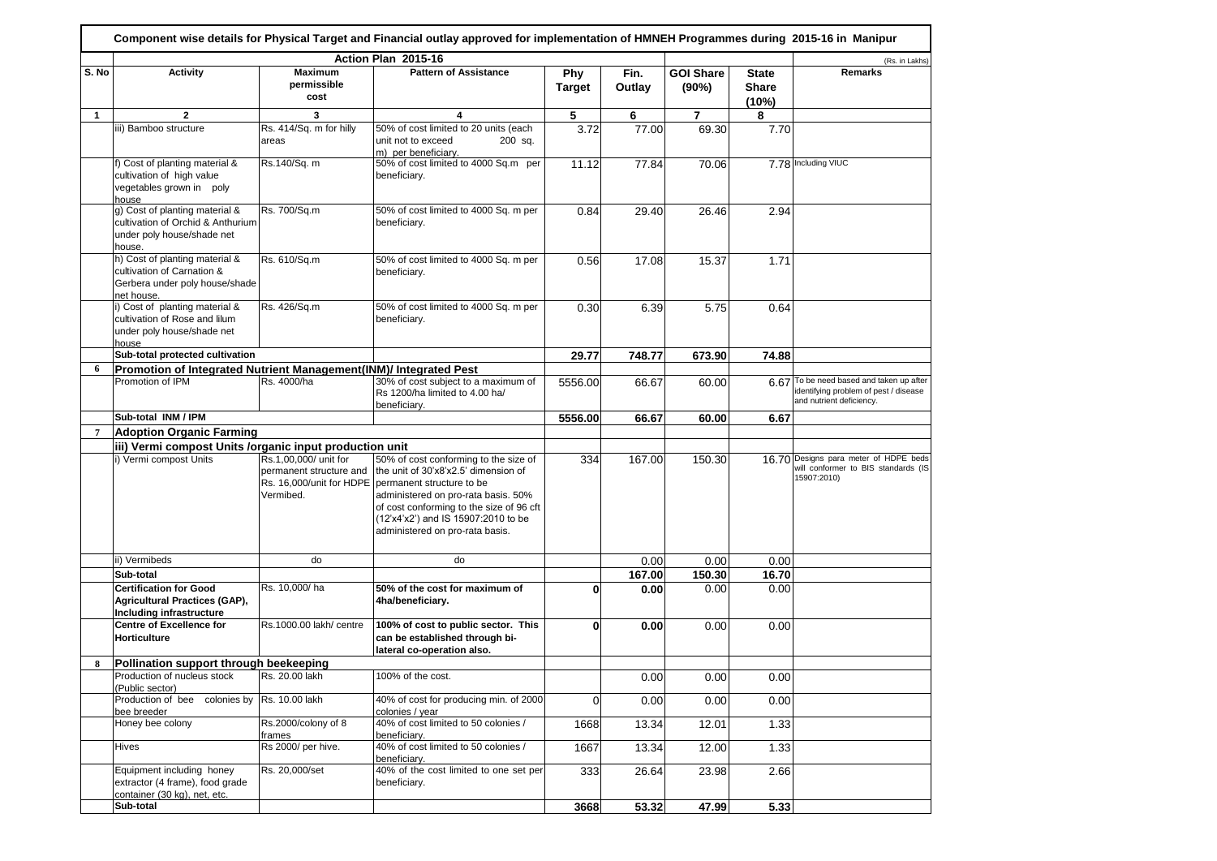|              |                                                                                                              |                                       | Action Plan 2015-16                                                                                                                                                                                                                                                                                                      |                             |                |                           |                                | (Rs. in Lakhs)                                                                                                |
|--------------|--------------------------------------------------------------------------------------------------------------|---------------------------------------|--------------------------------------------------------------------------------------------------------------------------------------------------------------------------------------------------------------------------------------------------------------------------------------------------------------------------|-----------------------------|----------------|---------------------------|--------------------------------|---------------------------------------------------------------------------------------------------------------|
| S. No        | <b>Activity</b>                                                                                              | <b>Maximum</b><br>permissible<br>cost | <b>Pattern of Assistance</b>                                                                                                                                                                                                                                                                                             | <b>Phy</b><br><b>Target</b> | Fin.<br>Outlay | <b>GOI Share</b><br>(90%) | <b>State</b><br>Share<br>(10%) | <b>Remarks</b>                                                                                                |
| $\mathbf{1}$ | $\mathbf{2}$                                                                                                 | 3                                     | 4                                                                                                                                                                                                                                                                                                                        | 5                           | 6              | $\overline{7}$            | 8                              |                                                                                                               |
|              | iii) Bamboo structure                                                                                        | Rs. 414/Sq. m for hilly<br>areas      | 50% of cost limited to 20 units (each<br>unit not to exceed<br>200 sq.<br>m) per beneficiary.                                                                                                                                                                                                                            | 3.72                        | 77.00          | 69.30                     | 7.70                           |                                                                                                               |
|              | f) Cost of planting material &<br>cultivation of high value<br>vegetables grown in poly<br>house             | Rs.140/Sq. m                          | 50% of cost limited to 4000 Sq.m per<br>beneficiary.                                                                                                                                                                                                                                                                     | 11.12                       | 77.84          | 70.06                     |                                | 7.78 Including VIUC                                                                                           |
|              | g) Cost of planting material &<br>cultivation of Orchid & Anthurium<br>under poly house/shade net<br>house.  | Rs. 700/Sq.m                          | 50% of cost limited to 4000 Sq. m per<br>beneficiary.                                                                                                                                                                                                                                                                    | 0.84                        | 29.40          | 26.46                     | 2.94                           |                                                                                                               |
|              | h) Cost of planting material &<br>cultivation of Carnation &<br>Gerbera under poly house/shade<br>net house. | Rs. 610/Sq.m                          | 50% of cost limited to 4000 Sq. m per<br>beneficiary.                                                                                                                                                                                                                                                                    | 0.56                        | 17.08          | 15.37                     | 1.71                           |                                                                                                               |
|              | i) Cost of planting material &<br>cultivation of Rose and lilum<br>under poly house/shade net<br>house       | Rs. 426/Sq.m                          | 50% of cost limited to 4000 Sq. m per<br>beneficiary.                                                                                                                                                                                                                                                                    | 0.30                        | 6.39           | 5.75                      | 0.64                           |                                                                                                               |
|              | Sub-total protected cultivation                                                                              |                                       |                                                                                                                                                                                                                                                                                                                          | 29.77                       | 748.77         | 673.90                    | 74.88                          |                                                                                                               |
| 6            | Promotion of Integrated Nutrient Management(INM)/ Integrated Pest                                            |                                       |                                                                                                                                                                                                                                                                                                                          |                             |                |                           |                                |                                                                                                               |
|              | Promotion of IPM                                                                                             | Rs. 4000/ha                           | 30% of cost subject to a maximum of<br>Rs 1200/ha limited to 4.00 ha/<br>beneficiary.                                                                                                                                                                                                                                    | 5556.00                     | 66.67          | 60.00                     |                                | 6.67 To be need based and taken up after<br>identifying problem of pest / disease<br>and nutrient deficiency. |
|              | Sub-total INM / IPM                                                                                          |                                       |                                                                                                                                                                                                                                                                                                                          | 5556.00                     | 66.67          | 60.00                     | 6.67                           |                                                                                                               |
|              | <b>Adoption Organic Farming</b>                                                                              |                                       |                                                                                                                                                                                                                                                                                                                          |                             |                |                           |                                |                                                                                                               |
|              | iii) Vermi compost Units /organic input production unit                                                      |                                       |                                                                                                                                                                                                                                                                                                                          |                             |                |                           |                                |                                                                                                               |
|              | i) Vermi compost Units                                                                                       | Rs.1,00,000/ unit for<br>Vermibed.    | 50% of cost conforming to the size of<br>permanent structure and the unit of 30'x8'x2.5' dimension of<br>Rs. 16,000/unit for HDPE permanent structure to be<br>administered on pro-rata basis. 50%<br>of cost conforming to the size of 96 cft<br>(12'x4'x2') and IS 15907:2010 to be<br>administered on pro-rata basis. | 334                         | 167.00         | 150.30                    |                                | 16.70 Designs para meter of HDPE beds<br>will conformer to BIS standards (IS<br>15907:2010)                   |
|              | ii) Vermibeds                                                                                                | do                                    | do                                                                                                                                                                                                                                                                                                                       |                             | 0.00           | 0.00                      | 0.00                           |                                                                                                               |
|              | Sub-total                                                                                                    |                                       |                                                                                                                                                                                                                                                                                                                          |                             | 167.00         | 150.30                    | 16.70                          |                                                                                                               |
|              | <b>Certification for Good</b><br>Agricultural Practices (GAP),<br>Including infrastructure                   | Rs. 10,000/ha                         | 50% of the cost for maximum of<br>4ha/beneficiary.                                                                                                                                                                                                                                                                       | 0                           | 0.00           | 0.00                      | 0.00                           |                                                                                                               |
|              | <b>Centre of Excellence for</b><br><b>Horticulture</b>                                                       | Rs.1000.00 lakh/ centre               | 100% of cost to public sector. This<br>can be established through bi-<br>lateral co-operation also.                                                                                                                                                                                                                      | 0                           | 0.00           | 0.00                      | 0.00                           |                                                                                                               |
|              | Pollination support through beekeeping                                                                       |                                       |                                                                                                                                                                                                                                                                                                                          |                             |                |                           |                                |                                                                                                               |
|              | Production of nucleus stock<br>(Public sector)                                                               | Rs. 20.00 lakh                        | 100% of the cost.                                                                                                                                                                                                                                                                                                        |                             | 0.00           | 0.00                      | 0.00                           |                                                                                                               |
|              | Production of bee<br>bee breeder                                                                             | colonies by Rs. 10.00 lakh            | 40% of cost for producing min. of 2000<br>colonies / year                                                                                                                                                                                                                                                                | $\Omega$                    | 0.00           | 0.00                      | 0.00                           |                                                                                                               |
|              | Honey bee colony                                                                                             | Rs.2000/colony of 8<br>frames         | 40% of cost limited to 50 colonies /<br>beneficiary.                                                                                                                                                                                                                                                                     | 1668                        | 13.34          | 12.01                     | 1.33                           |                                                                                                               |
|              | Hives                                                                                                        | Rs 2000/ per hive.                    | 40% of cost limited to 50 colonies /<br>beneficiary.                                                                                                                                                                                                                                                                     | 1667                        | 13.34          | 12.00                     | 1.33                           |                                                                                                               |
|              | Equipment including honey<br>extractor (4 frame), food grade<br>container (30 kg), net, etc.                 | Rs. 20,000/set                        | 40% of the cost limited to one set per<br>beneficiary.                                                                                                                                                                                                                                                                   | 333                         | 26.64          | 23.98                     | 2.66                           |                                                                                                               |
|              | Sub-total                                                                                                    |                                       |                                                                                                                                                                                                                                                                                                                          | 3668                        | 53.32          | 47.99                     | 5.33                           |                                                                                                               |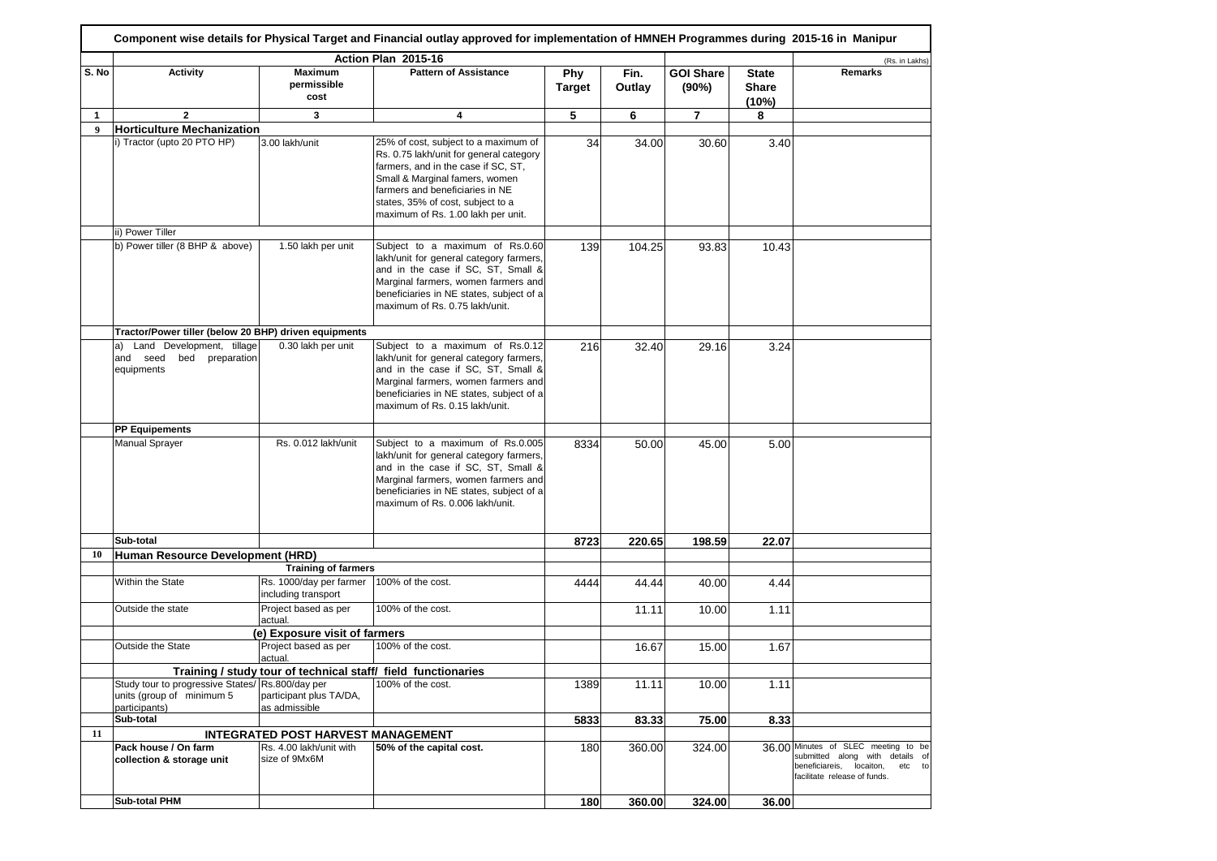|       |                                                                              |                                                               | Action Plan 2015-16                                                                                                                                                                                                                                                    |                      |                |                           |                                       | (Rs. in Lakhs)                                                                                                                               |
|-------|------------------------------------------------------------------------------|---------------------------------------------------------------|------------------------------------------------------------------------------------------------------------------------------------------------------------------------------------------------------------------------------------------------------------------------|----------------------|----------------|---------------------------|---------------------------------------|----------------------------------------------------------------------------------------------------------------------------------------------|
| S. No | <b>Activity</b>                                                              | <b>Maximum</b><br>permissible<br>cost                         | <b>Pattern of Assistance</b>                                                                                                                                                                                                                                           | Phy<br><b>Target</b> | Fin.<br>Outlay | <b>GOI Share</b><br>(90%) | <b>State</b><br><b>Share</b><br>(10%) | Remarks                                                                                                                                      |
| 1     | $\mathbf{2}$                                                                 | 3                                                             | 4                                                                                                                                                                                                                                                                      | 5                    | 6              | 7                         | 8                                     |                                                                                                                                              |
| 9     | <b>Horticulture Mechanization</b>                                            |                                                               |                                                                                                                                                                                                                                                                        |                      |                |                           |                                       |                                                                                                                                              |
|       | i) Tractor (upto 20 PTO HP)                                                  | 3.00 lakh/unit                                                | 25% of cost, subject to a maximum of<br>Rs. 0.75 lakh/unit for general category<br>farmers, and in the case if SC, ST,<br>Small & Marginal famers, women<br>farmers and beneficiaries in NE<br>states, 35% of cost, subject to a<br>maximum of Rs. 1.00 lakh per unit. | 34                   | 34.00          | 30.60                     | 3.40                                  |                                                                                                                                              |
|       | ii) Power Tiller                                                             |                                                               |                                                                                                                                                                                                                                                                        |                      |                |                           |                                       |                                                                                                                                              |
|       | b) Power tiller (8 BHP & above)                                              | 1.50 lakh per unit                                            | Subject to a maximum of Rs.0.60<br>lakh/unit for general category farmers,<br>and in the case if SC, ST, Small &<br>Marginal farmers, women farmers and<br>beneficiaries in NE states, subject of a<br>maximum of Rs. 0.75 lakh/unit.                                  | 139                  | 104.25         | 93.83                     | 10.43                                 |                                                                                                                                              |
|       | Tractor/Power tiller (below 20 BHP) driven equipments                        |                                                               |                                                                                                                                                                                                                                                                        |                      |                |                           |                                       |                                                                                                                                              |
|       | Land Development, tillage<br>a)<br>and seed<br>bed preparation<br>equipments | 0.30 lakh per unit                                            | Subject to a maximum of Rs.0.12<br>lakh/unit for general category farmers,<br>and in the case if SC, ST, Small &<br>Marginal farmers, women farmers and<br>beneficiaries in NE states, subject of a<br>maximum of Rs. 0.15 lakh/unit.                                  | 216                  | 32.40          | 29.16                     | 3.24                                  |                                                                                                                                              |
|       | <b>PP Equipements</b>                                                        |                                                               |                                                                                                                                                                                                                                                                        |                      |                |                           |                                       |                                                                                                                                              |
|       | <b>Manual Sprayer</b>                                                        | Rs. 0.012 lakh/unit                                           | Subject to a maximum of Rs.0.005<br>lakh/unit for general category farmers,<br>and in the case if SC, ST, Small &<br>Marginal farmers, women farmers and<br>beneficiaries in NE states, subject of a<br>maximum of Rs. 0.006 lakh/unit.                                | 8334                 | 50.00          | 45.00                     | 5.00                                  |                                                                                                                                              |
|       | Sub-total                                                                    |                                                               |                                                                                                                                                                                                                                                                        | 8723                 | 220.65         | 198.59                    | 22.07                                 |                                                                                                                                              |
| 10    | Human Resource Development (HRD)                                             |                                                               |                                                                                                                                                                                                                                                                        |                      |                |                           |                                       |                                                                                                                                              |
|       |                                                                              | <b>Training of farmers</b>                                    |                                                                                                                                                                                                                                                                        |                      |                |                           |                                       |                                                                                                                                              |
|       | Within the State                                                             | Rs. 1000/day per farmer<br>including transport                | 100% of the cost.                                                                                                                                                                                                                                                      | 4444                 | 44.44          | 40.00                     | 4.44                                  |                                                                                                                                              |
|       | Outside the state                                                            | Project based as per<br>actual.                               | 100% of the cost.                                                                                                                                                                                                                                                      |                      | 11.11          | 10.00                     | 1.11                                  |                                                                                                                                              |
|       |                                                                              | (e) Exposure visit of farmers                                 |                                                                                                                                                                                                                                                                        |                      |                |                           |                                       |                                                                                                                                              |
|       | Outside the State                                                            | Project based as per<br>actual.                               | 100% of the cost.                                                                                                                                                                                                                                                      |                      | 16.67          | 15.00                     | 1.67                                  |                                                                                                                                              |
|       | Study tour to progressive States/ Rs.800/day per                             | Training / study tour of technical staff/ field functionaries | 100% of the cost.                                                                                                                                                                                                                                                      |                      |                |                           |                                       |                                                                                                                                              |
|       | units (group of minimum 5<br>participants)                                   | participant plus TA/DA,<br>as admissible                      |                                                                                                                                                                                                                                                                        | 1389                 | 11.11          | 10.00                     | 1.11                                  |                                                                                                                                              |
|       | Sub-total                                                                    |                                                               |                                                                                                                                                                                                                                                                        | 5833                 | 83.33          | 75.00                     | 8.33                                  |                                                                                                                                              |
| 11    |                                                                              | <b>INTEGRATED POST HARVEST MANAGEMENT</b>                     |                                                                                                                                                                                                                                                                        |                      |                |                           |                                       |                                                                                                                                              |
|       | Pack house / On farm<br>collection & storage unit                            | Rs. 4.00 lakh/unit with<br>size of 9Mx6M                      | 50% of the capital cost.                                                                                                                                                                                                                                               | 180                  | 360.00         | 324.00                    |                                       | 36.00 Minutes of SLEC meeting to be<br>submitted along with details of<br>beneficiareis, locaiton,<br>etc to<br>facilitate release of funds. |
|       | <b>Sub-total PHM</b>                                                         |                                                               |                                                                                                                                                                                                                                                                        | 180                  | 360.00         | 324.00                    | 36.00                                 |                                                                                                                                              |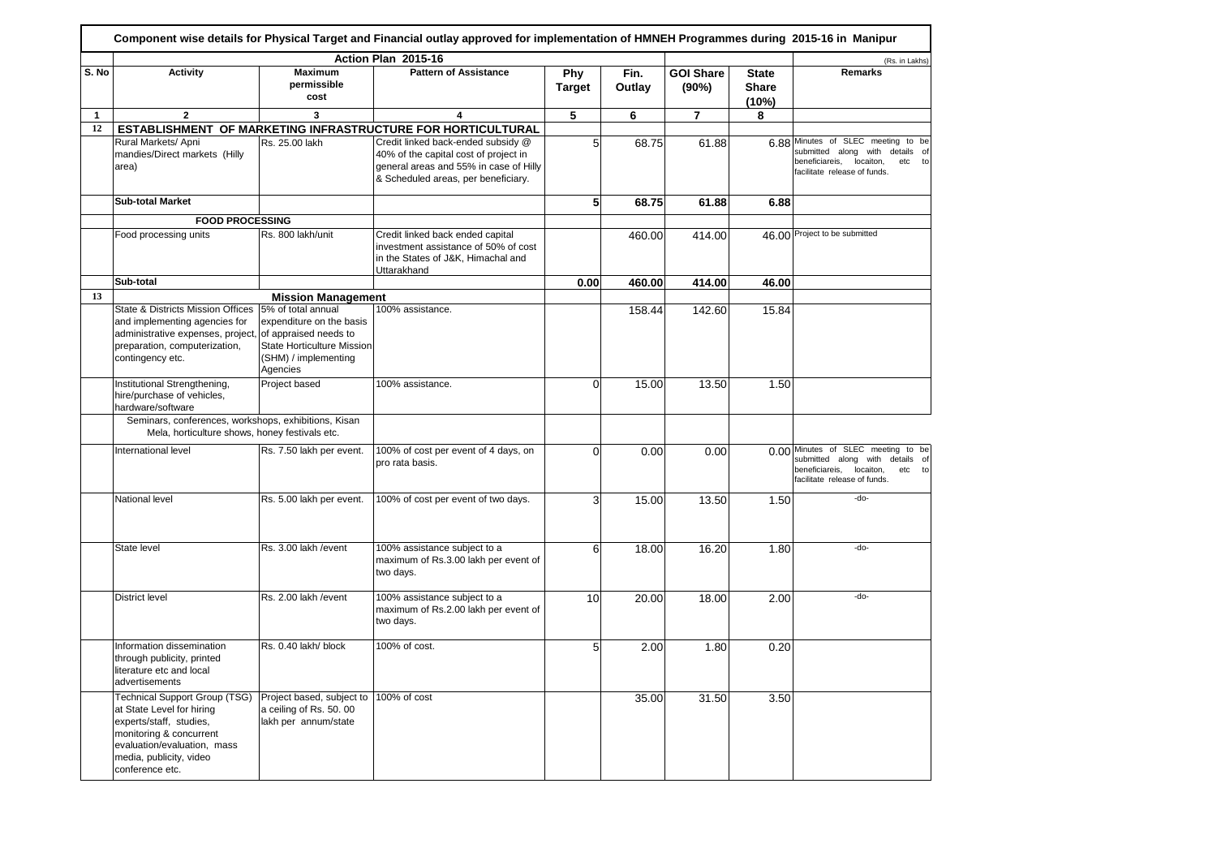|              |                                                                                                                                                                                                      |                                                                                                                  | Action Plan 2015-16                                                                                                                                          |                             |                |                           |                                       | (Rs. in Lakhs)                                                                                                                                          |
|--------------|------------------------------------------------------------------------------------------------------------------------------------------------------------------------------------------------------|------------------------------------------------------------------------------------------------------------------|--------------------------------------------------------------------------------------------------------------------------------------------------------------|-----------------------------|----------------|---------------------------|---------------------------------------|---------------------------------------------------------------------------------------------------------------------------------------------------------|
| S. No        | <b>Activity</b>                                                                                                                                                                                      | <b>Maximum</b><br>permissible<br>cost                                                                            | <b>Pattern of Assistance</b>                                                                                                                                 | <b>Phy</b><br><b>Target</b> | Fin.<br>Outlay | <b>GOI Share</b><br>(90%) | <b>State</b><br><b>Share</b><br>(10%) | Remarks                                                                                                                                                 |
| $\mathbf{1}$ | $\overline{2}$                                                                                                                                                                                       | 3                                                                                                                | 4                                                                                                                                                            | 5                           | 6              | $\overline{7}$            | 8                                     |                                                                                                                                                         |
| 12           |                                                                                                                                                                                                      |                                                                                                                  | ESTABLISHMENT OF MARKETING INFRASTRUCTURE FOR HORTICULTURAL                                                                                                  |                             |                |                           |                                       |                                                                                                                                                         |
|              | Rural Markets/ Apni<br>mandies/Direct markets (Hilly<br>area)                                                                                                                                        | Rs. 25.00 lakh                                                                                                   | Credit linked back-ended subsidy @<br>40% of the capital cost of project in<br>general areas and 55% in case of Hilly<br>& Scheduled areas, per beneficiary. | 5 <sup>1</sup>              | 68.75          | 61.88                     |                                       | 6.88 Minutes of SLEC meeting to be<br>submitted along<br>with<br>details of<br>beneficiareis,<br>locaiton,<br>etc<br>to<br>facilitate release of funds. |
|              | <b>Sub-total Market</b>                                                                                                                                                                              |                                                                                                                  |                                                                                                                                                              | 5 <sub>l</sub>              | 68.75          | 61.88                     | 6.88                                  |                                                                                                                                                         |
|              | <b>FOOD PROCESSING</b>                                                                                                                                                                               |                                                                                                                  |                                                                                                                                                              |                             |                |                           |                                       |                                                                                                                                                         |
|              | Food processing units                                                                                                                                                                                | Rs. 800 lakh/unit                                                                                                | Credit linked back ended capital<br>investment assistance of 50% of cost<br>in the States of J&K, Himachal and<br>Uttarakhand                                |                             | 460.00         | 414.00                    |                                       | 46.00 Project to be submitted                                                                                                                           |
|              | Sub-total                                                                                                                                                                                            |                                                                                                                  |                                                                                                                                                              | 0.00                        | 460.00         | 414.00                    | 46.00                                 |                                                                                                                                                         |
| 13           |                                                                                                                                                                                                      | <b>Mission Management</b>                                                                                        |                                                                                                                                                              |                             |                |                           |                                       |                                                                                                                                                         |
|              | State & Districts Mission Offices<br>and implementing agencies for<br>administrative expenses, project, of appraised needs to<br>preparation, computerization,<br>contingency etc.                   | 5% of total annual<br>expenditure on the basis<br>State Horticulture Mission<br>(SHM) / implementing<br>Agencies | 100% assistance.                                                                                                                                             |                             | 158.44         | 142.60                    | 15.84                                 |                                                                                                                                                         |
|              | Institutional Strengthening,<br>hire/purchase of vehicles,<br>hardware/software                                                                                                                      | Project based                                                                                                    | 100% assistance.                                                                                                                                             | $\Omega$                    | 15.00          | 13.50                     | 1.50                                  |                                                                                                                                                         |
|              | Seminars, conferences, workshops, exhibitions, Kisan<br>Mela, horticulture shows, honey festivals etc.                                                                                               |                                                                                                                  |                                                                                                                                                              |                             |                |                           |                                       |                                                                                                                                                         |
|              | International level                                                                                                                                                                                  | Rs. 7.50 lakh per event.                                                                                         | 100% of cost per event of 4 days, on<br>pro rata basis.                                                                                                      | $\Omega$                    | 0.00           | 0.00                      |                                       | 0.00 Minutes of SLEC meeting to be<br>submitted along with details of<br>beneficiareis,<br>locaiton,<br>etc to<br>facilitate release of funds.          |
|              | National level                                                                                                                                                                                       | Rs. 5.00 lakh per event.                                                                                         | 100% of cost per event of two days.                                                                                                                          | $\mathbf{3}$                | 15.00          | 13.50                     | 1.50                                  | $-do-$                                                                                                                                                  |
|              | State level                                                                                                                                                                                          | Rs. 3.00 lakh / event                                                                                            | 100% assistance subject to a<br>maximum of Rs.3.00 lakh per event of<br>two days.                                                                            | $6 \mid$                    | 18.00          | 16.20                     | 1.80                                  | -do-                                                                                                                                                    |
|              | <b>District level</b>                                                                                                                                                                                | Rs. 2.00 lakh / event                                                                                            | 100% assistance subject to a<br>maximum of Rs.2.00 lakh per event of<br>two days.                                                                            | 10                          | 20.00          | 18.00                     | 2.00                                  | -do-                                                                                                                                                    |
|              | Information dissemination<br>through publicity, printed<br>literature etc and local<br>advertisements                                                                                                | Rs. 0.40 lakh/ block                                                                                             | 100% of cost.                                                                                                                                                | 5 <sup>1</sup>              | 2.00           | 1.80                      | 0.20                                  |                                                                                                                                                         |
|              | <b>Technical Support Group (TSG)</b><br>at State Level for hiring<br>experts/staff, studies,<br>monitoring & concurrent<br>evaluation/evaluation, mass<br>media, publicity, video<br>conference etc. | Project based, subject to 100% of cost<br>a ceiling of Rs. 50. 00<br>lakh per annum/state                        |                                                                                                                                                              |                             | 35.00          | 31.50                     | 3.50                                  |                                                                                                                                                         |